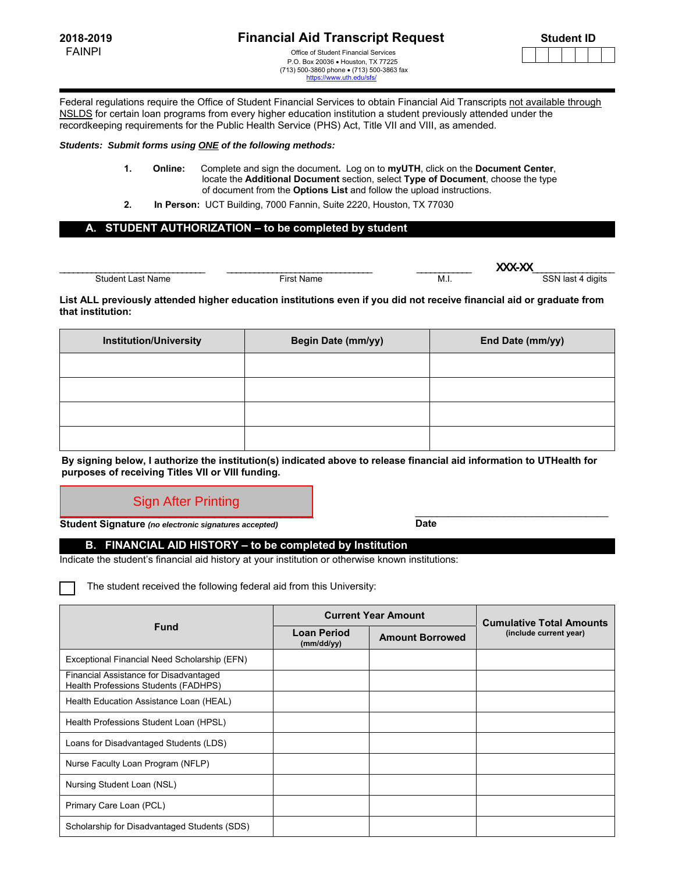FAINPI **FAINPI CONSERVING THE OFFICE OF Student Financial Services**  P.O. Box 20036 Houston, TX 77225 (713) 500-3860 phone (713) 500-3863 fax https://www.uth.



Federal regulations require the Office of Student Financial Services to obtain Financial Aid Transcripts not available through NSLDS for certain loan programs from every higher education institution a student previously attended under the recordkeeping requirements for the Public Health Service (PHS) Act, Title VII and VIII, as amended.

## *Students: Submit forms using ONE of the following methods:*

- **1. Online:** Complete and sign the document**.** Log on to **myUTH**, click on the **Document Center**, locate the **Additional Document** section, select **Type of Document**, choose the type of document from the **Options List** and follow the upload instructions.
- **2. In Person:** UCT Building, 7000 Fannin, Suite 2220, Houston, TX 77030

## **A. STUDENT AUTHORIZATION – to be completed by student**

|                     |       |     | .                                |
|---------------------|-------|-----|----------------------------------|
| $\mathcal{L}$<br>הר | . irc | MJ. | diaits<br>$\sim$<br>⊶<br>$\cdot$ |

## **List ALL previously attended higher education institutions even if you did not receive financial aid or graduate from that institution:**

| <b>Institution/University</b> | <b>Begin Date (mm/yy)</b> | End Date (mm/yy) |
|-------------------------------|---------------------------|------------------|
|                               |                           |                  |
|                               |                           |                  |
|                               |                           |                  |
|                               |                           |                  |

**By signing below, I authorize the institution(s) indicated above to release financial aid information to UTHealth for purposes of receiving Titles VII or VIII funding.** 

## Sign After Printing

**Student Signature** *(no electronic signatures accepted)* **Date**

**B. FINANCIAL AID HISTORY – to be completed by Institution** 

Indicate the student's financial aid history at your institution or otherwise known institutions:

The student received the following federal aid from this University:

|                                                                                | <b>Current Year Amount</b> |                        | <b>Cumulative Total Amounts</b> |
|--------------------------------------------------------------------------------|----------------------------|------------------------|---------------------------------|
| <b>Fund</b>                                                                    | Loan Period<br>(mm/dd/yy)  | <b>Amount Borrowed</b> | (include current year)          |
| Exceptional Financial Need Scholarship (EFN)                                   |                            |                        |                                 |
| Financial Assistance for Disadvantaged<br>Health Professions Students (FADHPS) |                            |                        |                                 |
| Health Education Assistance Loan (HEAL)                                        |                            |                        |                                 |
| Health Professions Student Loan (HPSL)                                         |                            |                        |                                 |
| Loans for Disadvantaged Students (LDS)                                         |                            |                        |                                 |
| Nurse Faculty Loan Program (NFLP)                                              |                            |                        |                                 |
| Nursing Student Loan (NSL)                                                     |                            |                        |                                 |
| Primary Care Loan (PCL)                                                        |                            |                        |                                 |
| Scholarship for Disadvantaged Students (SDS)                                   |                            |                        |                                 |

\_\_\_\_\_\_\_\_\_\_\_\_\_\_\_\_\_\_\_\_\_\_\_\_\_\_\_\_\_\_\_\_\_\_\_\_\_\_\_\_\_\_\_\_\_\_ \_\_\_\_\_\_\_\_\_\_\_\_\_\_\_\_\_\_\_\_\_\_\_\_\_\_\_\_\_\_\_\_\_\_\_